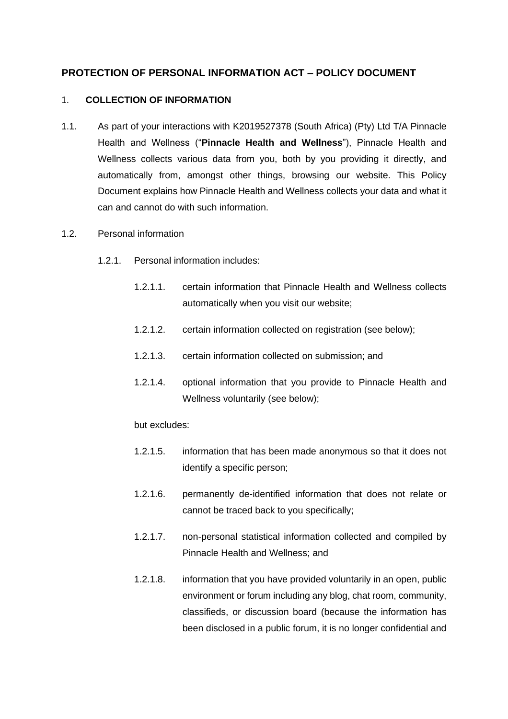# **PROTECTION OF PERSONAL INFORMATION ACT – POLICY DOCUMENT**

## 1. **COLLECTION OF INFORMATION**

- 1.1. As part of your interactions with K2019527378 (South Africa) (Pty) Ltd T/A Pinnacle Health and Wellness ("**Pinnacle Health and Wellness**"), Pinnacle Health and Wellness collects various data from you, both by you providing it directly, and automatically from, amongst other things, browsing our website. This Policy Document explains how Pinnacle Health and Wellness collects your data and what it can and cannot do with such information.
- 1.2. Personal information
	- 1.2.1. Personal information includes:
		- 1.2.1.1. certain information that Pinnacle Health and Wellness collects automatically when you visit our website;
		- 1.2.1.2. certain information collected on registration (see below);
		- 1.2.1.3. certain information collected on submission; and
		- 1.2.1.4. optional information that you provide to Pinnacle Health and Wellness voluntarily (see below);

## but excludes:

- 1.2.1.5. information that has been made anonymous so that it does not identify a specific person;
- 1.2.1.6. permanently de-identified information that does not relate or cannot be traced back to you specifically;
- 1.2.1.7. non-personal statistical information collected and compiled by Pinnacle Health and Wellness; and
- 1.2.1.8. information that you have provided voluntarily in an open, public environment or forum including any blog, chat room, community, classifieds, or discussion board (because the information has been disclosed in a public forum, it is no longer confidential and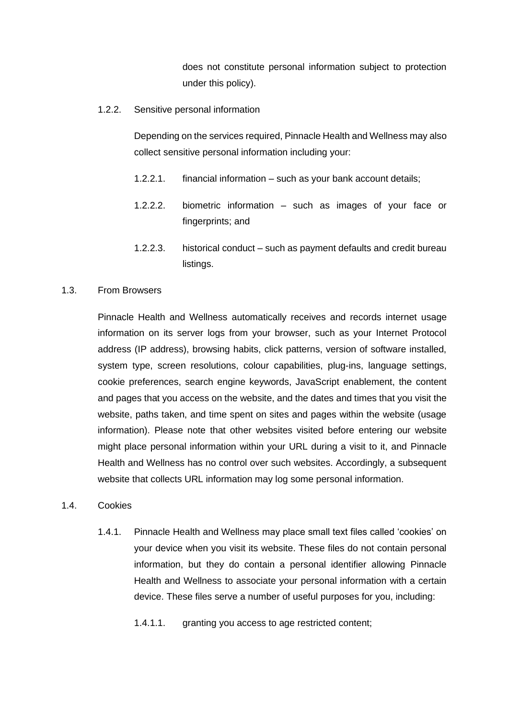does not constitute personal information subject to protection under this policy).

1.2.2. Sensitive personal information

Depending on the services required, Pinnacle Health and Wellness may also collect sensitive personal information including your:

- 1.2.2.1. financial information such as your bank account details;
- 1.2.2.2. biometric information such as images of your face or fingerprints; and
- 1.2.2.3. historical conduct such as payment defaults and credit bureau listings.

#### 1.3. From Browsers

Pinnacle Health and Wellness automatically receives and records internet usage information on its server logs from your browser, such as your Internet Protocol address (IP address), browsing habits, click patterns, version of software installed, system type, screen resolutions, colour capabilities, plug-ins, language settings, cookie preferences, search engine keywords, JavaScript enablement, the content and pages that you access on the website, and the dates and times that you visit the website, paths taken, and time spent on sites and pages within the website (usage information). Please note that other websites visited before entering our website might place personal information within your URL during a visit to it, and Pinnacle Health and Wellness has no control over such websites. Accordingly, a subsequent website that collects URL information may log some personal information.

#### 1.4. Cookies

1.4.1. Pinnacle Health and Wellness may place small text files called 'cookies' on your device when you visit its website. These files do not contain personal information, but they do contain a personal identifier allowing Pinnacle Health and Wellness to associate your personal information with a certain device. These files serve a number of useful purposes for you, including:

1.4.1.1. granting you access to age restricted content;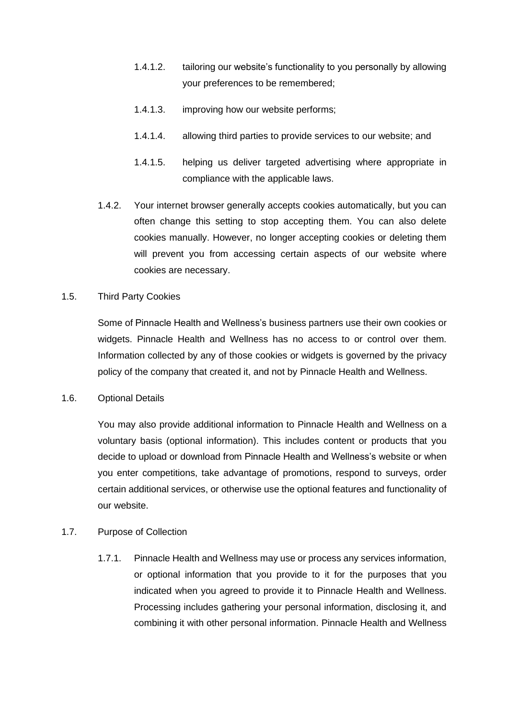- 1.4.1.2. tailoring our website's functionality to you personally by allowing your preferences to be remembered;
- 1.4.1.3. improving how our website performs;
- 1.4.1.4. allowing third parties to provide services to our website; and
- 1.4.1.5. helping us deliver targeted advertising where appropriate in compliance with the applicable laws.
- 1.4.2. Your internet browser generally accepts cookies automatically, but you can often change this setting to stop accepting them. You can also delete cookies manually. However, no longer accepting cookies or deleting them will prevent you from accessing certain aspects of our website where cookies are necessary.

## 1.5. Third Party Cookies

Some of Pinnacle Health and Wellness's business partners use their own cookies or widgets. Pinnacle Health and Wellness has no access to or control over them. Information collected by any of those cookies or widgets is governed by the privacy policy of the company that created it, and not by Pinnacle Health and Wellness.

## 1.6. Optional Details

You may also provide additional information to Pinnacle Health and Wellness on a voluntary basis (optional information). This includes content or products that you decide to upload or download from Pinnacle Health and Wellness's website or when you enter competitions, take advantage of promotions, respond to surveys, order certain additional services, or otherwise use the optional features and functionality of our website.

## 1.7. Purpose of Collection

1.7.1. Pinnacle Health and Wellness may use or process any services information, or optional information that you provide to it for the purposes that you indicated when you agreed to provide it to Pinnacle Health and Wellness. Processing includes gathering your personal information, disclosing it, and combining it with other personal information. Pinnacle Health and Wellness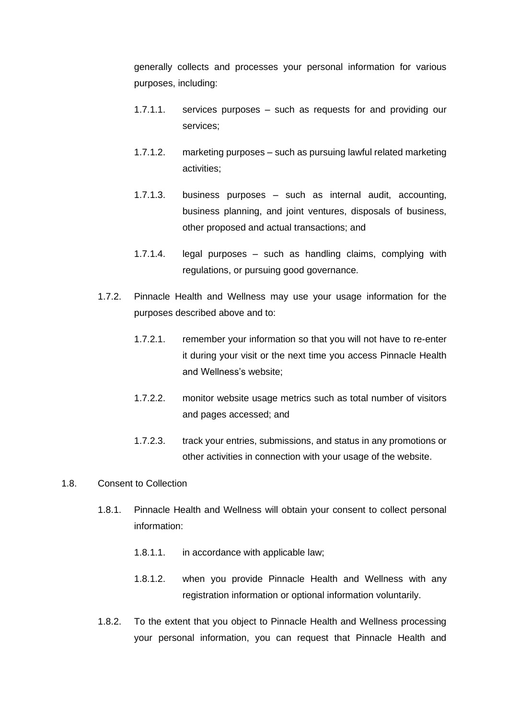generally collects and processes your personal information for various purposes, including:

- 1.7.1.1. services purposes such as requests for and providing our services;
- 1.7.1.2. marketing purposes such as pursuing lawful related marketing activities;
- 1.7.1.3. business purposes such as internal audit, accounting, business planning, and joint ventures, disposals of business, other proposed and actual transactions; and
- 1.7.1.4. legal purposes such as handling claims, complying with regulations, or pursuing good governance.
- 1.7.2. Pinnacle Health and Wellness may use your usage information for the purposes described above and to:
	- 1.7.2.1. remember your information so that you will not have to re-enter it during your visit or the next time you access Pinnacle Health and Wellness's website;
	- 1.7.2.2. monitor website usage metrics such as total number of visitors and pages accessed; and
	- 1.7.2.3. track your entries, submissions, and status in any promotions or other activities in connection with your usage of the website.
- 1.8. Consent to Collection
	- 1.8.1. Pinnacle Health and Wellness will obtain your consent to collect personal information:
		- 1.8.1.1. in accordance with applicable law;
		- 1.8.1.2. when you provide Pinnacle Health and Wellness with any registration information or optional information voluntarily.
	- 1.8.2. To the extent that you object to Pinnacle Health and Wellness processing your personal information, you can request that Pinnacle Health and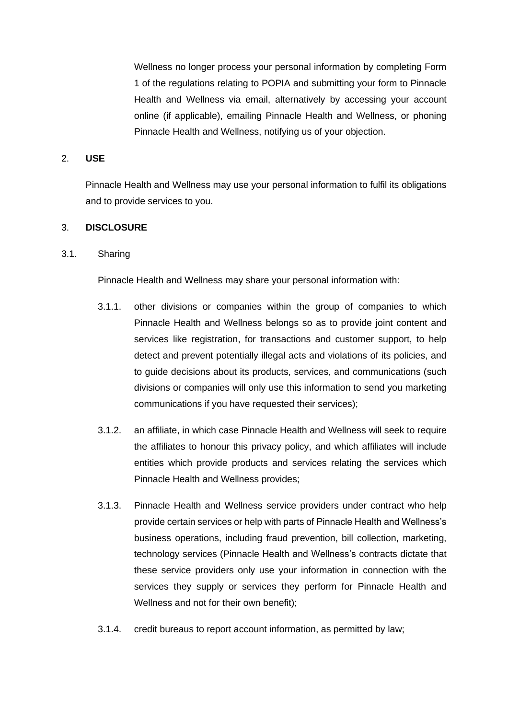Wellness no longer process your personal information by completing Form 1 of the regulations relating to POPIA and submitting your form to Pinnacle Health and Wellness via email, alternatively by accessing your account online (if applicable), emailing Pinnacle Health and Wellness, or phoning Pinnacle Health and Wellness, notifying us of your objection.

#### 2. **USE**

Pinnacle Health and Wellness may use your personal information to fulfil its obligations and to provide services to you.

#### 3. **DISCLOSURE**

#### 3.1. Sharing

Pinnacle Health and Wellness may share your personal information with:

- 3.1.1. other divisions or companies within the group of companies to which Pinnacle Health and Wellness belongs so as to provide joint content and services like registration, for transactions and customer support, to help detect and prevent potentially illegal acts and violations of its policies, and to guide decisions about its products, services, and communications (such divisions or companies will only use this information to send you marketing communications if you have requested their services);
- 3.1.2. an affiliate, in which case Pinnacle Health and Wellness will seek to require the affiliates to honour this privacy policy, and which affiliates will include entities which provide products and services relating the services which Pinnacle Health and Wellness provides;
- 3.1.3. Pinnacle Health and Wellness service providers under contract who help provide certain services or help with parts of Pinnacle Health and Wellness's business operations, including fraud prevention, bill collection, marketing, technology services (Pinnacle Health and Wellness's contracts dictate that these service providers only use your information in connection with the services they supply or services they perform for Pinnacle Health and Wellness and not for their own benefit);
- 3.1.4. credit bureaus to report account information, as permitted by law;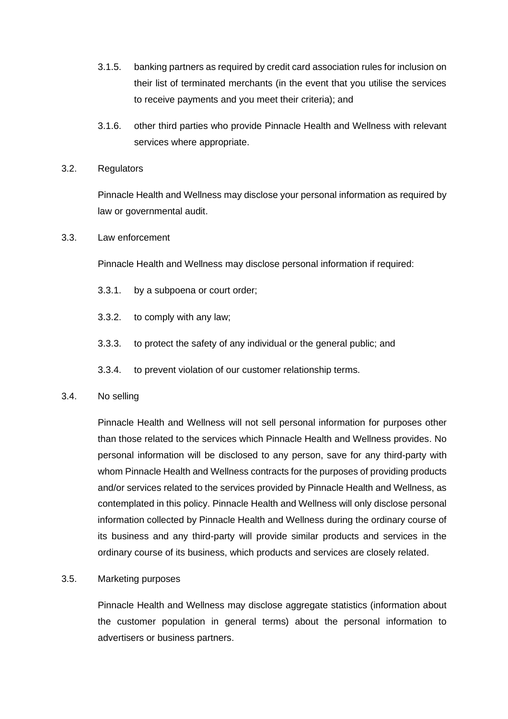- 3.1.5. banking partners as required by credit card association rules for inclusion on their list of terminated merchants (in the event that you utilise the services to receive payments and you meet their criteria); and
- 3.1.6. other third parties who provide Pinnacle Health and Wellness with relevant services where appropriate.

#### 3.2. Regulators

Pinnacle Health and Wellness may disclose your personal information as required by law or governmental audit.

## 3.3. Law enforcement

Pinnacle Health and Wellness may disclose personal information if required:

- 3.3.1. by a subpoena or court order;
- 3.3.2. to comply with any law;
- 3.3.3. to protect the safety of any individual or the general public; and
- 3.3.4. to prevent violation of our customer relationship terms.

## 3.4. No selling

Pinnacle Health and Wellness will not sell personal information for purposes other than those related to the services which Pinnacle Health and Wellness provides. No personal information will be disclosed to any person, save for any third-party with whom Pinnacle Health and Wellness contracts for the purposes of providing products and/or services related to the services provided by Pinnacle Health and Wellness, as contemplated in this policy. Pinnacle Health and Wellness will only disclose personal information collected by Pinnacle Health and Wellness during the ordinary course of its business and any third-party will provide similar products and services in the ordinary course of its business, which products and services are closely related.

## 3.5. Marketing purposes

Pinnacle Health and Wellness may disclose aggregate statistics (information about the customer population in general terms) about the personal information to advertisers or business partners.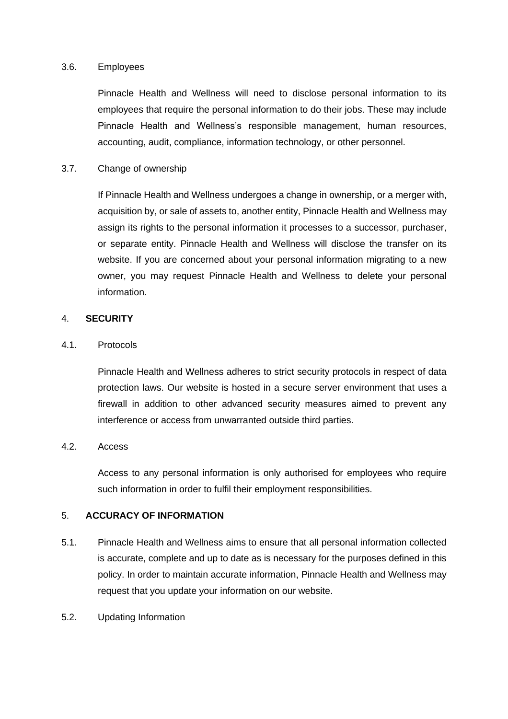#### 3.6. Employees

Pinnacle Health and Wellness will need to disclose personal information to its employees that require the personal information to do their jobs. These may include Pinnacle Health and Wellness's responsible management, human resources, accounting, audit, compliance, information technology, or other personnel.

## 3.7. Change of ownership

If Pinnacle Health and Wellness undergoes a change in ownership, or a merger with, acquisition by, or sale of assets to, another entity, Pinnacle Health and Wellness may assign its rights to the personal information it processes to a successor, purchaser, or separate entity. Pinnacle Health and Wellness will disclose the transfer on its website. If you are concerned about your personal information migrating to a new owner, you may request Pinnacle Health and Wellness to delete your personal information.

#### 4. **SECURITY**

#### 4.1. Protocols

Pinnacle Health and Wellness adheres to strict security protocols in respect of data protection laws. Our website is hosted in a secure server environment that uses a firewall in addition to other advanced security measures aimed to prevent any interference or access from unwarranted outside third parties.

## 4.2. Access

Access to any personal information is only authorised for employees who require such information in order to fulfil their employment responsibilities.

## 5. **ACCURACY OF INFORMATION**

- 5.1. Pinnacle Health and Wellness aims to ensure that all personal information collected is accurate, complete and up to date as is necessary for the purposes defined in this policy. In order to maintain accurate information, Pinnacle Health and Wellness may request that you update your information on our website.
- 5.2. Updating Information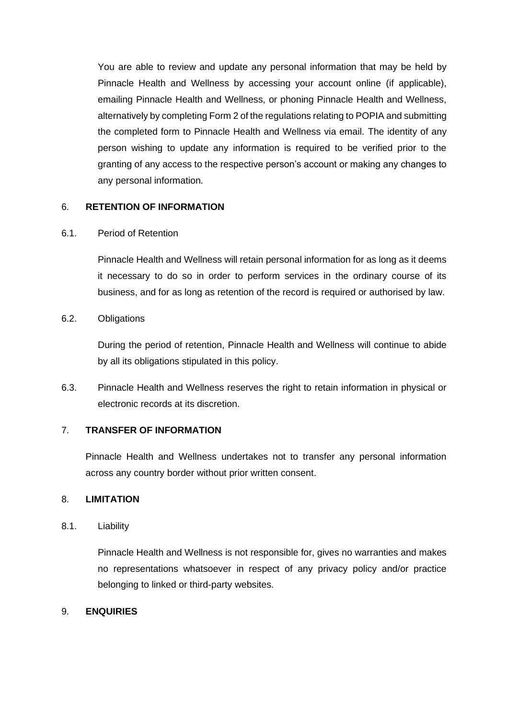You are able to review and update any personal information that may be held by Pinnacle Health and Wellness by accessing your account online (if applicable), emailing Pinnacle Health and Wellness, or phoning Pinnacle Health and Wellness, alternatively by completing Form 2 of the regulations relating to POPIA and submitting the completed form to Pinnacle Health and Wellness via email. The identity of any person wishing to update any information is required to be verified prior to the granting of any access to the respective person's account or making any changes to any personal information.

## 6. **RETENTION OF INFORMATION**

## 6.1. Period of Retention

Pinnacle Health and Wellness will retain personal information for as long as it deems it necessary to do so in order to perform services in the ordinary course of its business, and for as long as retention of the record is required or authorised by law.

6.2. Obligations

During the period of retention, Pinnacle Health and Wellness will continue to abide by all its obligations stipulated in this policy.

6.3. Pinnacle Health and Wellness reserves the right to retain information in physical or electronic records at its discretion.

## 7. **TRANSFER OF INFORMATION**

Pinnacle Health and Wellness undertakes not to transfer any personal information across any country border without prior written consent.

## 8. **LIMITATION**

## 8.1. Liability

Pinnacle Health and Wellness is not responsible for, gives no warranties and makes no representations whatsoever in respect of any privacy policy and/or practice belonging to linked or third-party websites.

## 9. **ENQUIRIES**